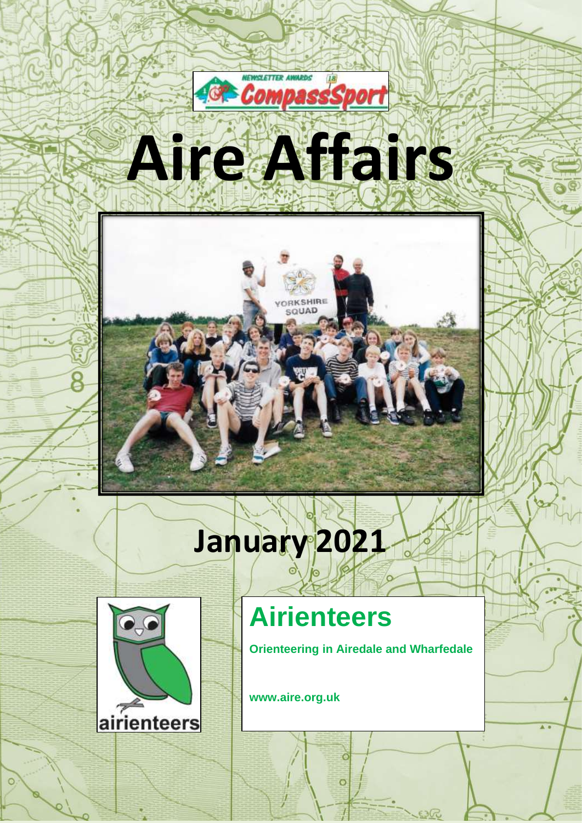



# **January 2021**



## **Airienteers**

**Orienteering in Airedale and Wharfedale**

Ġ

 $\circ$ 

**www.aire.org.uk**

1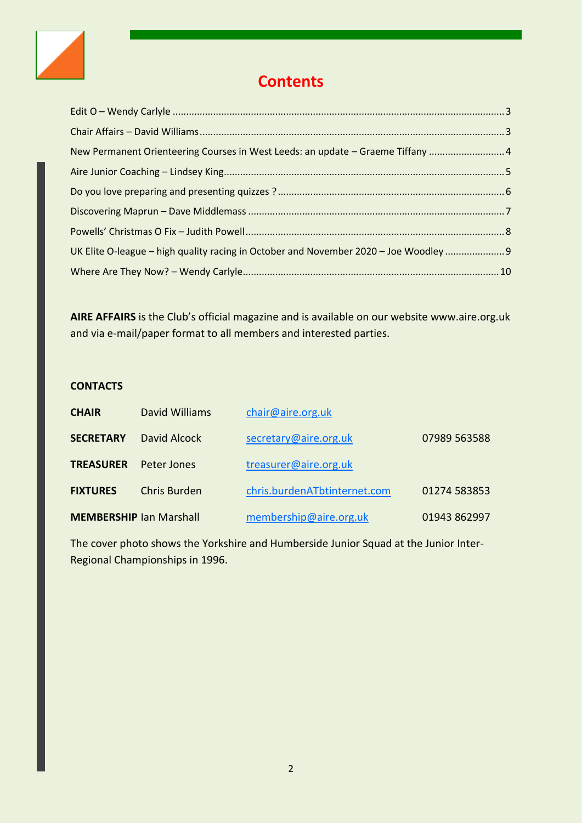

## **Contents**

| New Permanent Orienteering Courses in West Leeds: an update - Graeme Tiffany  4       |  |
|---------------------------------------------------------------------------------------|--|
|                                                                                       |  |
|                                                                                       |  |
|                                                                                       |  |
|                                                                                       |  |
| UK Elite O-league - high quality racing in October and November 2020 - Joe Woodley  9 |  |
|                                                                                       |  |

**AIRE AFFAIRS** is the Club's official magazine and is available on our website www.aire.org.uk and via e-mail/paper format to all members and interested parties.

#### **CONTACTS**

| <b>CHAIR</b>     | David Williams                 | chair@aire.org.uk            |              |
|------------------|--------------------------------|------------------------------|--------------|
| <b>SECRETARY</b> | David Alcock                   | secretary@aire.org.uk        | 07989 563588 |
| <b>TREASURER</b> | Peter Jones                    | treasurer@aire.org.uk        |              |
| <b>FIXTURES</b>  | Chris Burden                   | chris.burdenATbtinternet.com | 01274 583853 |
|                  | <b>MEMBERSHIP Ian Marshall</b> | membership@aire.org.uk       | 01943 862997 |

<span id="page-1-0"></span>The cover photo shows the Yorkshire and Humberside Junior Squad at the Junior Inter-Regional Championships in 1996.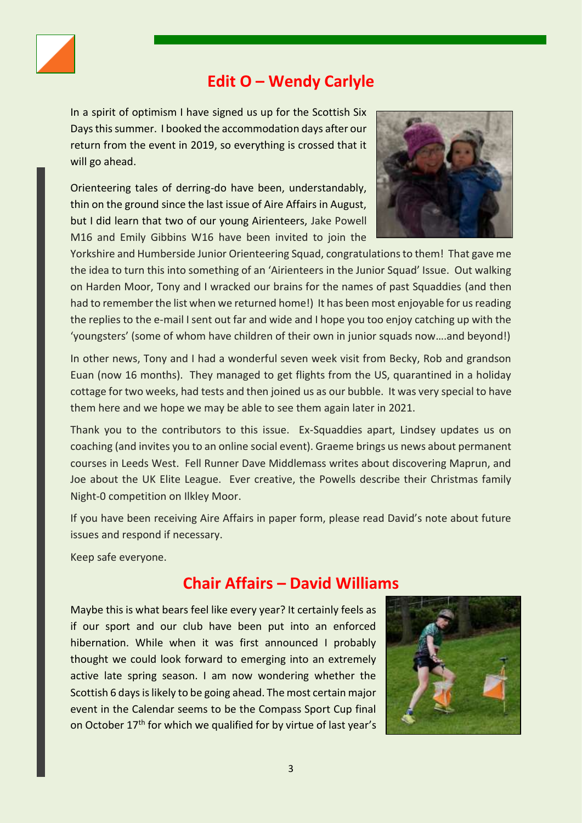

## **Edit O – Wendy Carlyle**

In a spirit of optimism I have signed us up for the Scottish Six Days this summer. I booked the accommodation days after our return from the event in 2019, so everything is crossed that it will go ahead.

Orienteering tales of derring-do have been, understandably, thin on the ground since the last issue of Aire Affairs in August, but I did learn that two of our young Airienteers, Jake Powell M16 and Emily Gibbins W16 have been invited to join the



Yorkshire and Humberside Junior Orienteering Squad, congratulations to them! That gave me the idea to turn this into something of an 'Airienteers in the Junior Squad' Issue. Out walking on Harden Moor, Tony and I wracked our brains for the names of past Squaddies (and then had to remember the list when we returned home!) It has been most enjoyable for us reading the replies to the e-mail I sent out far and wide and I hope you too enjoy catching up with the 'youngsters' (some of whom have children of their own in junior squads now….and beyond!)

In other news, Tony and I had a wonderful seven week visit from Becky, Rob and grandson Euan (now 16 months). They managed to get flights from the US, quarantined in a holiday cottage for two weeks, had tests and then joined us as our bubble. It was very special to have them here and we hope we may be able to see them again later in 2021.

Thank you to the contributors to this issue. Ex-Squaddies apart, Lindsey updates us on coaching (and invites you to an online social event). Graeme brings us news about permanent courses in Leeds West. Fell Runner Dave Middlemass writes about discovering Maprun, and Joe about the UK Elite League. Ever creative, the Powells describe their Christmas family Night-0 competition on Ilkley Moor.

If you have been receiving Aire Affairs in paper form, please read David's note about future issues and respond if necessary.

Keep safe everyone.

## <span id="page-2-0"></span>**Chair Affairs – David Williams**

Maybe this is what bears feel like every year? It certainly feels as if our sport and our club have been put into an enforced hibernation. While when it was first announced I probably thought we could look forward to emerging into an extremely active late spring season. I am now wondering whether the Scottish 6 days is likely to be going ahead. The most certain major event in the Calendar seems to be the Compass Sport Cup final on October 17<sup>th</sup> for which we qualified for by virtue of last year's

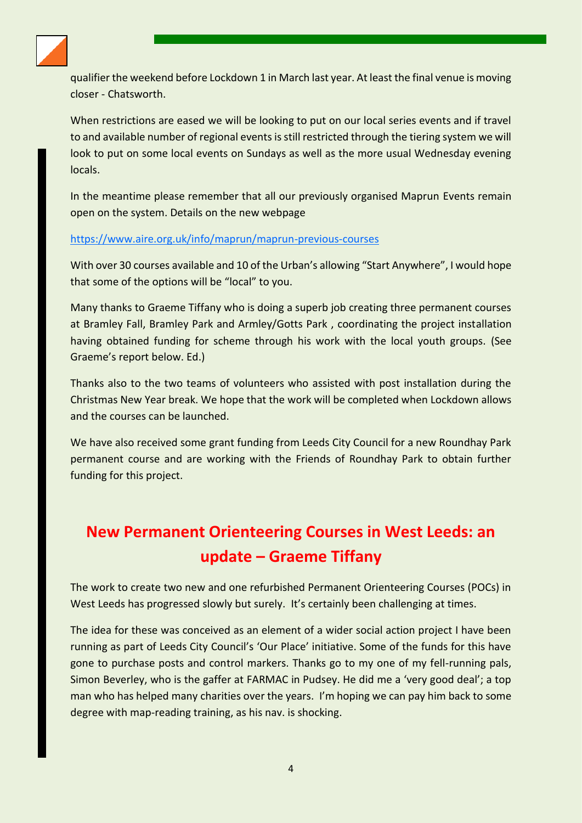

qualifier the weekend before Lockdown 1 in March last year. At least the final venue is moving closer - Chatsworth.

When restrictions are eased we will be looking to put on our local series events and if travel to and available number of regional events is still restricted through the tiering system we will look to put on some local events on Sundays as well as the more usual Wednesday evening locals.

In the meantime please remember that all our previously organised Maprun Events remain open on the system. Details on the new webpage

#### <https://www.aire.org.uk/info/maprun/maprun-previous-courses>

With over 30 courses available and 10 of the Urban's allowing "Start Anywhere", I would hope that some of the options will be "local" to you.

Many thanks to Graeme Tiffany who is doing a superb job creating three permanent courses at Bramley Fall, Bramley Park and Armley/Gotts Park , coordinating the project installation having obtained funding for scheme through his work with the local youth groups. (See Graeme's report below. Ed.)

Thanks also to the two teams of volunteers who assisted with post installation during the Christmas New Year break. We hope that the work will be completed when Lockdown allows and the courses can be launched.

We have also received some grant funding from Leeds City Council for a new Roundhay Park permanent course and are working with the Friends of Roundhay Park to obtain further funding for this project.

## <span id="page-3-0"></span>**New Permanent Orienteering Courses in West Leeds: an update – Graeme Tiffany**

The work to create two new and one refurbished Permanent Orienteering Courses (POCs) in West Leeds has progressed slowly but surely. It's certainly been challenging at times.

The idea for these was conceived as an element of a wider social action project I have been running as part of Leeds City Council's 'Our Place' initiative. Some of the funds for this have gone to purchase posts and control markers. Thanks go to my one of my fell-running pals, Simon Beverley, who is the gaffer at FARMAC in Pudsey. He did me a 'very good deal'; a top man who has helped many charities over the years. I'm hoping we can pay him back to some degree with map-reading training, as his nav. is shocking.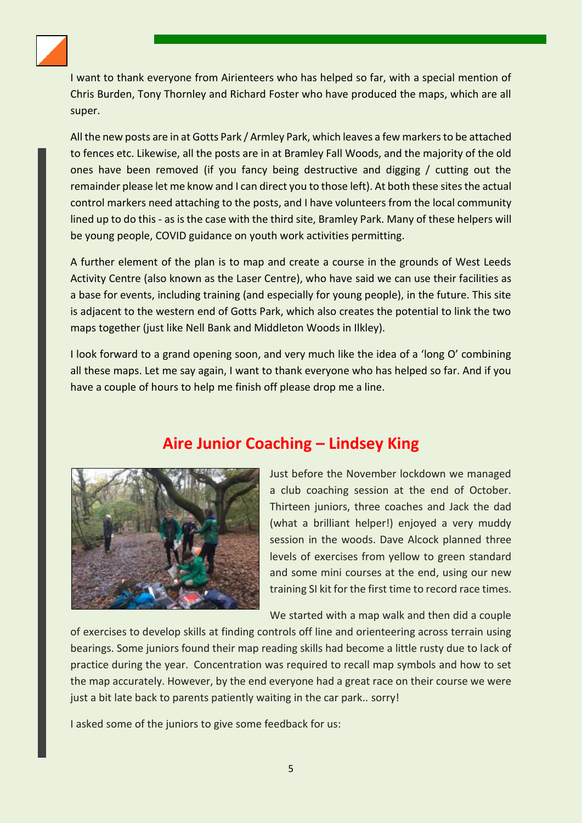

I want to thank everyone from Airienteers who has helped so far, with a special mention of Chris Burden, Tony Thornley and Richard Foster who have produced the maps, which are all super.

All the new posts are in at Gotts Park / Armley Park, which leaves a few markers to be attached to fences etc. Likewise, all the posts are in at Bramley Fall Woods, and the majority of the old ones have been removed (if you fancy being destructive and digging / cutting out the remainder please let me know and I can direct you to those left). At both these sites the actual control markers need attaching to the posts, and I have volunteers from the local community lined up to do this - as is the case with the third site, Bramley Park. Many of these helpers will be young people, COVID guidance on youth work activities permitting.

A further element of the plan is to map and create a course in the grounds of West Leeds Activity Centre (also known as the Laser Centre), who have said we can use their facilities as a base for events, including training (and especially for young people), in the future. This site is adjacent to the western end of Gotts Park, which also creates the potential to link the two maps together (just like Nell Bank and Middleton Woods in Ilkley).

I look forward to a grand opening soon, and very much like the idea of a 'long O' combining all these maps. Let me say again, I want to thank everyone who has helped so far. And if you have a couple of hours to help me finish off please drop me a line.

## **Aire Junior Coaching – Lindsey King**

<span id="page-4-0"></span>

Just before the November lockdown we managed a club coaching session at the end of October. Thirteen juniors, three coaches and Jack the dad (what a brilliant helper!) enjoyed a very muddy session in the woods. Dave Alcock planned three levels of exercises from yellow to green standard and some mini courses at the end, using our new training SI kit for the first time to record race times.

We started with a map walk and then did a couple

of exercises to develop skills at finding controls off line and orienteering across terrain using bearings. Some juniors found their map reading skills had become a little rusty due to lack of practice during the year. Concentration was required to recall map symbols and how to set the map accurately. However, by the end everyone had a great race on their course we were just a bit late back to parents patiently waiting in the car park.. sorry!

I asked some of the juniors to give some feedback for us: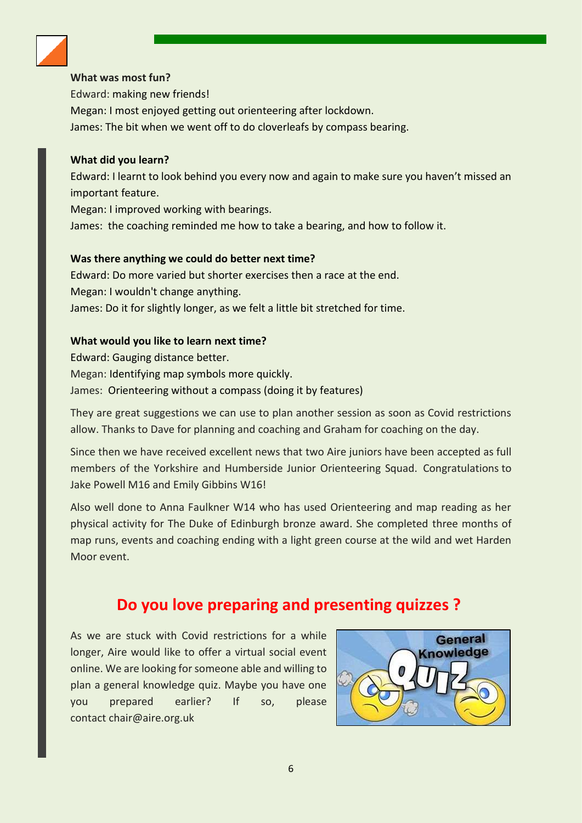

#### **What was most fun?**

Edward: making new friends! Megan: I most enjoyed getting out orienteering after lockdown. James: The bit when we went off to do cloverleafs by compass bearing.

#### **What did you learn?**

Edward: I learnt to look behind you every now and again to make sure you haven't missed an important feature.

Megan: I improved working with bearings.

James: the coaching reminded me how to take a bearing, and how to follow it.

#### **Was there anything we could do better next time?**

Edward: Do more varied but shorter exercises then a race at the end. Megan: I wouldn't change anything. James: Do it for slightly longer, as we felt a little bit stretched for time.

#### **What would you like to learn next time?**

Edward: Gauging distance better. Megan: Identifying map symbols more quickly. James: Orienteering without a compass (doing it by features)

They are great suggestions we can use to plan another session as soon as Covid restrictions allow. Thanks to Dave for planning and coaching and Graham for coaching on the day.

Since then we have received excellent news that two Aire juniors have been accepted as full members of the Yorkshire and Humberside Junior Orienteering Squad. Congratulations to Jake Powell M16 and Emily Gibbins W16!

Also well done to Anna Faulkner W14 who has used Orienteering and map reading as her physical activity for The Duke of Edinburgh bronze award. She completed three months of map runs, events and coaching ending with a light green course at the wild and wet Harden Moor event.

## **Do you love preparing and presenting quizzes ?**

<span id="page-5-0"></span>As we are stuck with Covid restrictions for a while longer, Aire would like to offer a virtual social event online. We are looking for someone able and willing to plan a general knowledge quiz. Maybe you have one you prepared earlier? If so, please contact chair@aire.org.uk

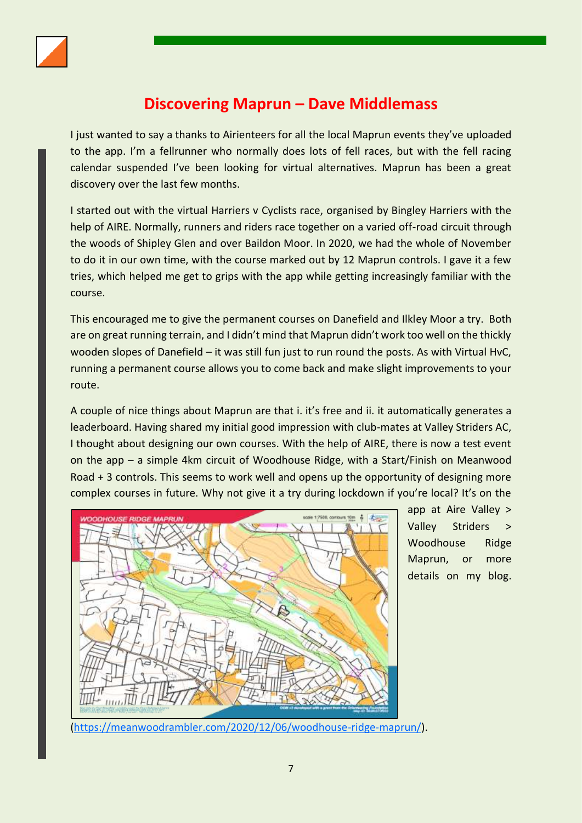

## **Discovering Maprun – Dave Middlemass**

<span id="page-6-0"></span>I just wanted to say a thanks to Airienteers for all the local Maprun events they've uploaded to the app. I'm a fellrunner who normally does lots of fell races, but with the fell racing calendar suspended I've been looking for virtual alternatives. Maprun has been a great discovery over the last few months.

I started out with the virtual Harriers v Cyclists race, organised by Bingley Harriers with the help of AIRE. Normally, runners and riders race together on a varied off-road circuit through the woods of Shipley Glen and over Baildon Moor. In 2020, we had the whole of November to do it in our own time, with the course marked out by 12 Maprun controls. I gave it a few tries, which helped me get to grips with the app while getting increasingly familiar with the course.

This encouraged me to give the permanent courses on Danefield and Ilkley Moor a try. Both are on great running terrain, and I didn't mind that Maprun didn't work too well on the thickly wooden slopes of Danefield – it was still fun just to run round the posts. As with Virtual HvC, running a permanent course allows you to come back and make slight improvements to your route.

A couple of nice things about Maprun are that i. it's free and ii. it automatically generates a leaderboard. Having shared my initial good impression with club-mates at Valley Striders AC, I thought about designing our own courses. With the help of AIRE, there is now a test event on the app – a simple 4km circuit of Woodhouse Ridge, with a Start/Finish on Meanwood Road + 3 controls. This seems to work well and opens up the opportunity of designing more complex courses in future. Why not give it a try during lockdown if you're local? It's on the



app at Aire Valley > Valley Striders Woodhouse Ridge Maprun, or more details on my blog.

[\(https://meanwoodrambler.com/2020/12/06/woodhouse-ridge-maprun/\)](https://meanwoodrambler.com/2020/12/06/woodhouse-ridge-maprun/).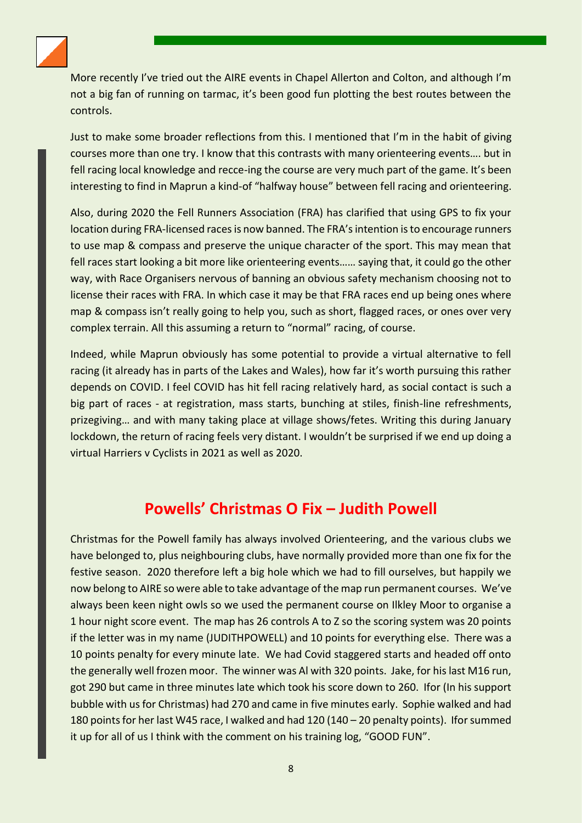

More recently I've tried out the AIRE events in Chapel Allerton and Colton, and although I'm not a big fan of running on tarmac, it's been good fun plotting the best routes between the controls.

Just to make some broader reflections from this. I mentioned that I'm in the habit of giving courses more than one try. I know that this contrasts with many orienteering events…. but in fell racing local knowledge and recce-ing the course are very much part of the game. It's been interesting to find in Maprun a kind-of "halfway house" between fell racing and orienteering.

Also, during 2020 the Fell Runners Association (FRA) has clarified that using GPS to fix your location during FRA-licensed races is now banned. The FRA's intention is to encourage runners to use map & compass and preserve the unique character of the sport. This may mean that fell races start looking a bit more like orienteering events…… saying that, it could go the other way, with Race Organisers nervous of banning an obvious safety mechanism choosing not to license their races with FRA. In which case it may be that FRA races end up being ones where map & compass isn't really going to help you, such as short, flagged races, or ones over very complex terrain. All this assuming a return to "normal" racing, of course.

Indeed, while Maprun obviously has some potential to provide a virtual alternative to fell racing (it already has in parts of the Lakes and Wales), how far it's worth pursuing this rather depends on COVID. I feel COVID has hit fell racing relatively hard, as social contact is such a big part of races - at registration, mass starts, bunching at stiles, finish-line refreshments, prizegiving… and with many taking place at village shows/fetes. Writing this during January lockdown, the return of racing feels very distant. I wouldn't be surprised if we end up doing a virtual Harriers v Cyclists in 2021 as well as 2020.

### **Powells' Christmas O Fix – Judith Powell**

<span id="page-7-0"></span>Christmas for the Powell family has always involved Orienteering, and the various clubs we have belonged to, plus neighbouring clubs, have normally provided more than one fix for the festive season. 2020 therefore left a big hole which we had to fill ourselves, but happily we now belong to AIRE so were able to take advantage of the map run permanent courses. We've always been keen night owls so we used the permanent course on Ilkley Moor to organise a 1 hour night score event. The map has 26 controls A to Z so the scoring system was 20 points if the letter was in my name (JUDITHPOWELL) and 10 points for everything else. There was a 10 points penalty for every minute late. We had Covid staggered starts and headed off onto the generally well frozen moor. The winner was Al with 320 points. Jake, for his last M16 run, got 290 but came in three minutes late which took his score down to 260. Ifor (In his support bubble with us for Christmas) had 270 and came in five minutes early. Sophie walked and had 180 points for her last W45 race, I walked and had 120 (140 – 20 penalty points). Ifor summed it up for all of us I think with the comment on his training log, "GOOD FUN".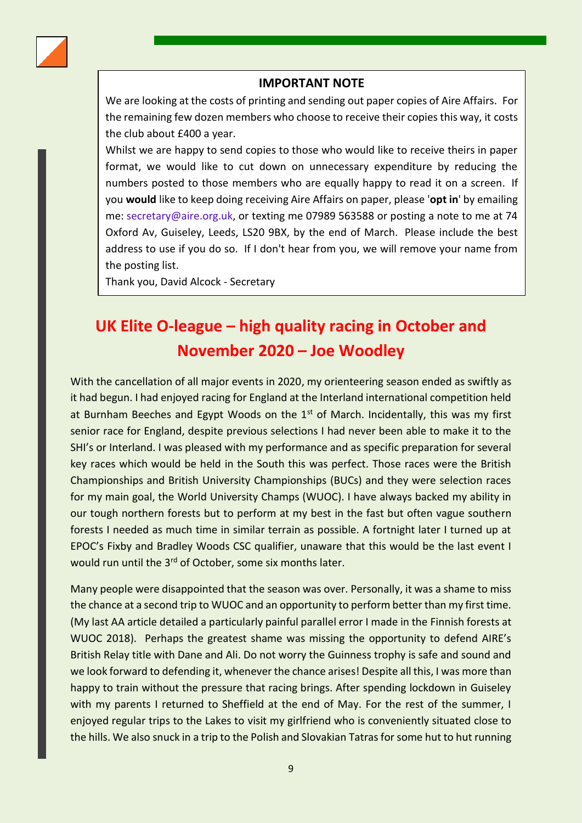

#### **IMPORTANT NOTE**

We are looking at the costs of printing and sending out paper copies of Aire Affairs. For the remaining few dozen members who choose to receive their copies this way, it costs the club about £400 a year.

Whilst we are happy to send copies to those who would like to receive theirs in paper format, we would like to cut down on unnecessary expenditure by reducing the numbers posted to those members who are equally happy to read it on a screen. If you **would** like to keep doing receiving Aire Affairs on paper, please '**opt in**' by emailing me: secretary@aire.org.uk, or texting me 07989 563588 or posting a note to me at 74 Oxford Av, Guiseley, Leeds, LS20 9BX, by the end of March. Please include the best address to use if you do so. If I don't hear from you, we will remove your name from the posting list.

Thank you, David Alcock - Secretary

## <span id="page-8-0"></span>**UK Elite O-league – high quality racing in October and November 2020 – Joe Woodley**

With the cancellation of all major events in 2020, my orienteering season ended as swiftly as it had begun. I had enjoyed racing for England at the Interland international competition held at Burnham Beeches and Egypt Woods on the  $1<sup>st</sup>$  of March. Incidentally, this was my first senior race for England, despite previous selections I had never been able to make it to the SHI's or Interland. I was pleased with my performance and as specific preparation for several key races which would be held in the South this was perfect. Those races were the British Championships and British University Championships (BUCs) and they were selection races for my main goal, the World University Champs (WUOC). I have always backed my ability in our tough northern forests but to perform at my best in the fast but often vague southern forests I needed as much time in similar terrain as possible. A fortnight later I turned up at EPOC's Fixby and Bradley Woods CSC qualifier, unaware that this would be the last event I would run until the 3<sup>rd</sup> of October, some six months later.

Many people were disappointed that the season was over. Personally, it was a shame to miss the chance at a second trip to WUOC and an opportunity to perform better than my first time. (My last AA article detailed a particularly painful parallel error I made in the Finnish forests at WUOC 2018). Perhaps the greatest shame was missing the opportunity to defend AIRE's British Relay title with Dane and Ali. Do not worry the Guinness trophy is safe and sound and we look forward to defending it, whenever the chance arises! Despite all this, I was more than happy to train without the pressure that racing brings. After spending lockdown in Guiseley with my parents I returned to Sheffield at the end of May. For the rest of the summer, I enjoyed regular trips to the Lakes to visit my girlfriend who is conveniently situated close to the hills. We also snuck in a trip to the Polish and Slovakian Tatras for some hut to hut running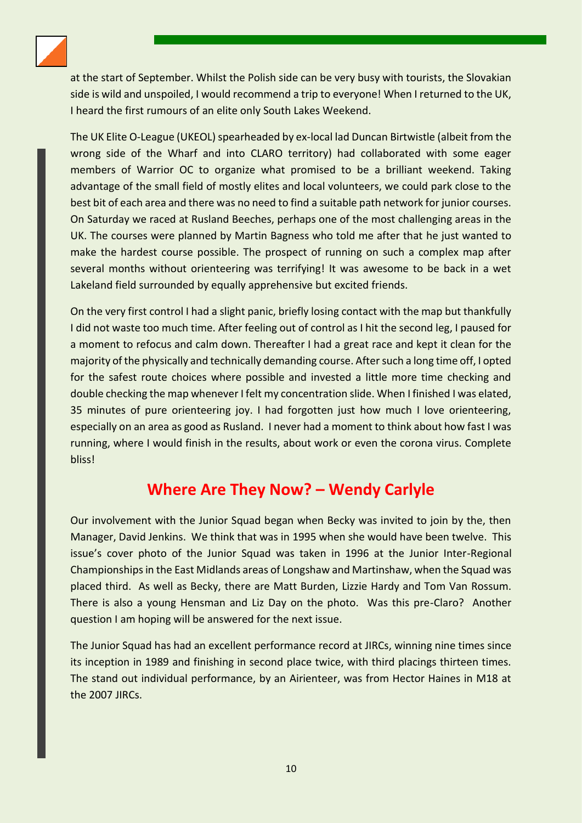

at the start of September. Whilst the Polish side can be very busy with tourists, the Slovakian side is wild and unspoiled, I would recommend a trip to everyone! When I returned to the UK, I heard the first rumours of an elite only South Lakes Weekend.

The UK Elite O-League (UKEOL) spearheaded by ex-local lad Duncan Birtwistle (albeit from the wrong side of the Wharf and into CLARO territory) had collaborated with some eager members of Warrior OC to organize what promised to be a brilliant weekend. Taking advantage of the small field of mostly elites and local volunteers, we could park close to the best bit of each area and there was no need to find a suitable path network for junior courses. On Saturday we raced at Rusland Beeches, perhaps one of the most challenging areas in the UK. The courses were planned by Martin Bagness who told me after that he just wanted to make the hardest course possible. The prospect of running on such a complex map after several months without orienteering was terrifying! It was awesome to be back in a wet Lakeland field surrounded by equally apprehensive but excited friends.

On the very first control I had a slight panic, briefly losing contact with the map but thankfully I did not waste too much time. After feeling out of control as I hit the second leg, I paused for a moment to refocus and calm down. Thereafter I had a great race and kept it clean for the majority of the physically and technically demanding course. After such a long time off, I opted for the safest route choices where possible and invested a little more time checking and double checking the map whenever I felt my concentration slide. When I finished I was elated, 35 minutes of pure orienteering joy. I had forgotten just how much I love orienteering, especially on an area as good as Rusland. I never had a moment to think about how fast I was running, where I would finish in the results, about work or even the corona virus. Complete bliss!

## **Where Are They Now? – Wendy Carlyle**

<span id="page-9-0"></span>Our involvement with the Junior Squad began when Becky was invited to join by the, then Manager, David Jenkins. We think that was in 1995 when she would have been twelve. This issue's cover photo of the Junior Squad was taken in 1996 at the Junior Inter-Regional Championships in the East Midlands areas of Longshaw and Martinshaw, when the Squad was placed third. As well as Becky, there are Matt Burden, Lizzie Hardy and Tom Van Rossum. There is also a young Hensman and Liz Day on the photo. Was this pre-Claro? Another question I am hoping will be answered for the next issue.

The Junior Squad has had an excellent performance record at JIRCs, winning nine times since its inception in 1989 and finishing in second place twice, with third placings thirteen times. The stand out individual performance, by an Airienteer, was from Hector Haines in M18 at the 2007 JIRCs.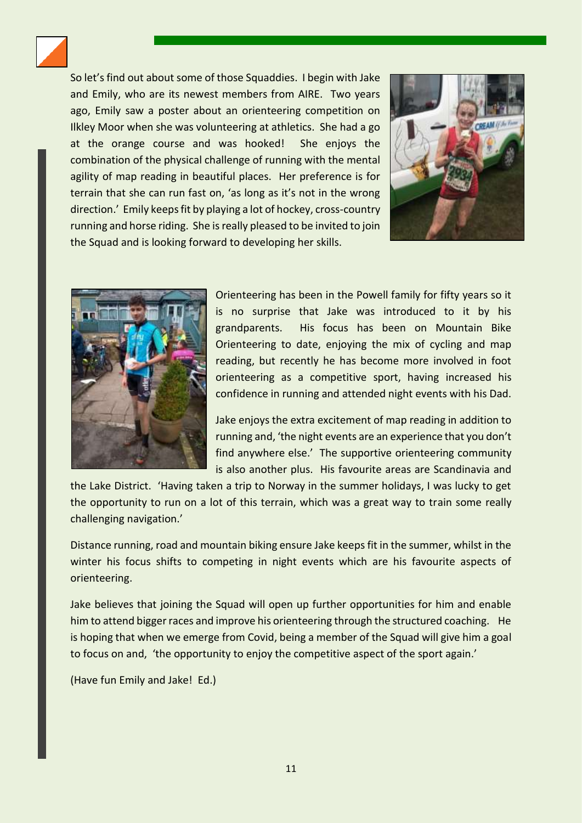

So let's find out about some of those Squaddies. I begin with Jake and Emily, who are its newest members from AIRE. Two years ago, Emily saw a poster about an orienteering competition on Ilkley Moor when she was volunteering at athletics. She had a go at the orange course and was hooked! She enjoys the combination of the physical challenge of running with the mental agility of map reading in beautiful places. Her preference is for terrain that she can run fast on, 'as long as it's not in the wrong direction.' Emily keeps fit by playing a lot of hockey, cross-country running and horse riding. She is really pleased to be invited to join the Squad and is looking forward to developing her skills.





Orienteering has been in the Powell family for fifty years so it is no surprise that Jake was introduced to it by his grandparents. His focus has been on Mountain Bike Orienteering to date, enjoying the mix of cycling and map reading, but recently he has become more involved in foot orienteering as a competitive sport, having increased his confidence in running and attended night events with his Dad.

Jake enjoys the extra excitement of map reading in addition to running and, 'the night events are an experience that you don't find anywhere else.' The supportive orienteering community is also another plus. His favourite areas are Scandinavia and

the Lake District. 'Having taken a trip to Norway in the summer holidays, I was lucky to get the opportunity to run on a lot of this terrain, which was a great way to train some really challenging navigation.'

Distance running, road and mountain biking ensure Jake keeps fit in the summer, whilst in the winter his focus shifts to competing in night events which are his favourite aspects of orienteering.

Jake believes that joining the Squad will open up further opportunities for him and enable him to attend bigger races and improve his orienteering through the structured coaching. He is hoping that when we emerge from Covid, being a member of the Squad will give him a goal to focus on and, 'the opportunity to enjoy the competitive aspect of the sport again.'

(Have fun Emily and Jake! Ed.)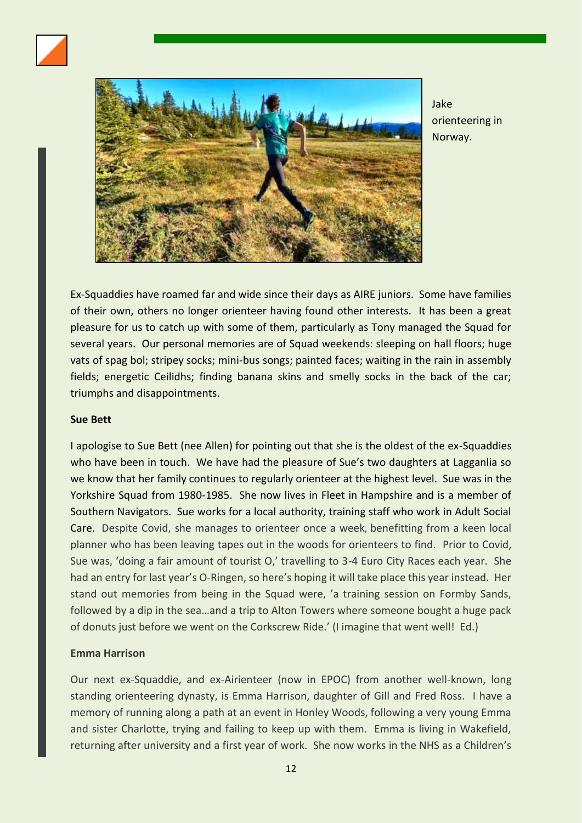



Jake orienteering in Norway.

Ex-Squaddies have roamed far and wide since their days as AIRE juniors. Some have families of their own, others no longer orienteer having found other interests. It has been a great pleasure for us to catch up with some of them, particularly as Tony managed the Squad for several years. Our personal memories are of Squad weekends: sleeping on hall floors; huge vats of spag bol; stripey socks; mini-bus songs; painted faces; waiting in the rain in assembly fields; energetic Ceilidhs; finding banana skins and smelly socks in the back of the car; triumphs and disappointments.

#### **Sue Bett**

I apologise to Sue Bett (nee Allen) for pointing out that she is the oldest of the ex-Squaddies who have been in touch. We have had the pleasure of Sue's two daughters at Lagganlia so we know that her family continues to regularly orienteer at the highest level. Sue was in the Yorkshire Squad from 1980-1985. She now lives in Fleet in Hampshire and is a member of Southern Navigators. Sue works for a local authority, training staff who work in Adult Social Care. Despite Covid, she manages to orienteer once a week, benefitting from a keen local planner who has been leaving tapes out in the woods for orienteers to find. Prior to Covid, Sue was, 'doing a fair amount of tourist O,' travelling to 3-4 Euro City Races each year. She had an entry for last year's O-Ringen, so here's hoping it will take place this year instead. Her stand out memories from being in the Squad were, 'a training session on Formby Sands, followed by a dip in the sea…and a trip to Alton Towers where someone bought a huge pack of donuts just before we went on the Corkscrew Ride.' (I imagine that went well! Ed.)

#### **Emma Harrison**

Our next ex-Squaddie, and ex-Airienteer (now in EPOC) from another well-known, long standing orienteering dynasty, is Emma Harrison, daughter of Gill and Fred Ross. I have a memory of running along a path at an event in Honley Woods, following a very young Emma and sister Charlotte, trying and failing to keep up with them. Emma is living in Wakefield, returning after university and a first year of work. She now works in the NHS as a Children's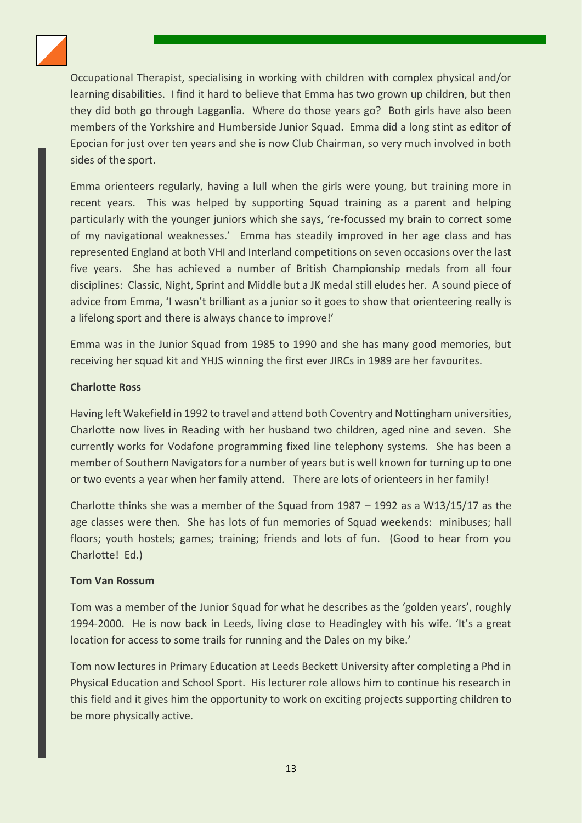

Occupational Therapist, specialising in working with children with complex physical and/or learning disabilities. I find it hard to believe that Emma has two grown up children, but then they did both go through Lagganlia. Where do those years go? Both girls have also been members of the Yorkshire and Humberside Junior Squad. Emma did a long stint as editor of Epocian for just over ten years and she is now Club Chairman, so very much involved in both sides of the sport.

Emma orienteers regularly, having a lull when the girls were young, but training more in recent years. This was helped by supporting Squad training as a parent and helping particularly with the younger juniors which she says, 're-focussed my brain to correct some of my navigational weaknesses.' Emma has steadily improved in her age class and has represented England at both VHI and Interland competitions on seven occasions over the last five years. She has achieved a number of British Championship medals from all four disciplines: Classic, Night, Sprint and Middle but a JK medal still eludes her. A sound piece of advice from Emma, 'I wasn't brilliant as a junior so it goes to show that orienteering really is a lifelong sport and there is always chance to improve!'

Emma was in the Junior Squad from 1985 to 1990 and she has many good memories, but receiving her squad kit and YHJS winning the first ever JIRCs in 1989 are her favourites.

#### **Charlotte Ross**

Having left Wakefield in 1992 to travel and attend both Coventry and Nottingham universities, Charlotte now lives in Reading with her husband two children, aged nine and seven. She currently works for Vodafone programming fixed line telephony systems. She has been a member of Southern Navigators for a number of years but is well known for turning up to one or two events a year when her family attend. There are lots of orienteers in her family!

Charlotte thinks she was a member of the Squad from 1987 – 1992 as a W13/15/17 as the age classes were then. She has lots of fun memories of Squad weekends: minibuses; hall floors; youth hostels; games; training; friends and lots of fun. (Good to hear from you Charlotte! Ed.)

#### **Tom Van Rossum**

Tom was a member of the Junior Squad for what he describes as the 'golden years', roughly 1994-2000. He is now back in Leeds, living close to Headingley with his wife. 'It's a great location for access to some trails for running and the Dales on my bike.'

Tom now lectures in Primary Education at Leeds Beckett University after completing a Phd in Physical Education and School Sport. His lecturer role allows him to continue his research in this field and it gives him the opportunity to work on exciting projects supporting children to be more physically active.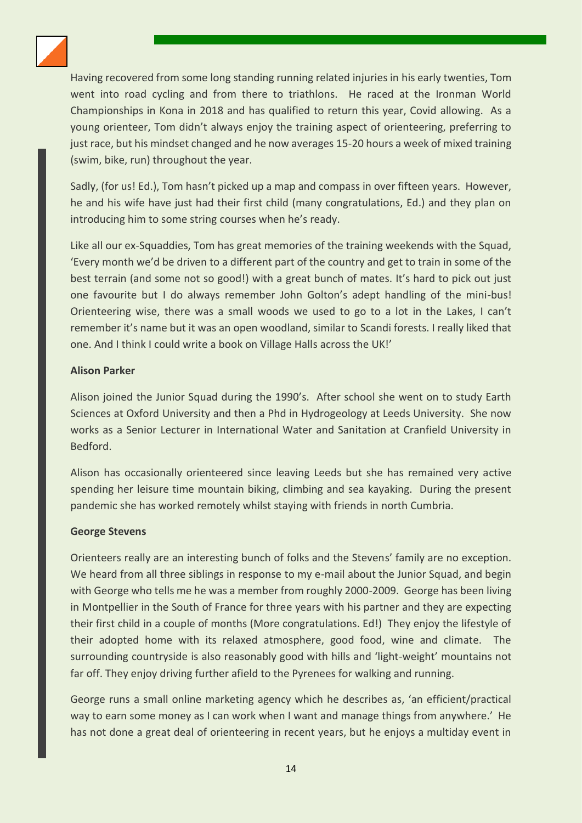

Having recovered from some long standing running related injuries in his early twenties, Tom went into road cycling and from there to triathlons. He raced at the Ironman World Championships in Kona in 2018 and has qualified to return this year, Covid allowing. As a young orienteer, Tom didn't always enjoy the training aspect of orienteering, preferring to just race, but his mindset changed and he now averages 15-20 hours a week of mixed training (swim, bike, run) throughout the year.

Sadly, (for us! Ed.), Tom hasn't picked up a map and compass in over fifteen years. However, he and his wife have just had their first child (many congratulations, Ed.) and they plan on introducing him to some string courses when he's ready.

Like all our ex-Squaddies, Tom has great memories of the training weekends with the Squad, 'Every month we'd be driven to a different part of the country and get to train in some of the best terrain (and some not so good!) with a great bunch of mates. It's hard to pick out just one favourite but I do always remember John Golton's adept handling of the mini-bus! Orienteering wise, there was a small woods we used to go to a lot in the Lakes, I can't remember it's name but it was an open woodland, similar to Scandi forests. I really liked that one. And I think I could write a book on Village Halls across the UK!'

#### **Alison Parker**

Alison joined the Junior Squad during the 1990's. After school she went on to study Earth Sciences at Oxford University and then a Phd in Hydrogeology at Leeds University. She now works as a Senior Lecturer in International Water and Sanitation at Cranfield University in Bedford.

Alison has occasionally orienteered since leaving Leeds but she has remained very active spending her leisure time mountain biking, climbing and sea kayaking. During the present pandemic she has worked remotely whilst staying with friends in north Cumbria.

#### **George Stevens**

Orienteers really are an interesting bunch of folks and the Stevens' family are no exception. We heard from all three siblings in response to my e-mail about the Junior Squad, and begin with George who tells me he was a member from roughly 2000-2009. George has been living in Montpellier in the South of France for three years with his partner and they are expecting their first child in a couple of months (More congratulations. Ed!) They enjoy the lifestyle of their adopted home with its relaxed atmosphere, good food, wine and climate. The surrounding countryside is also reasonably good with hills and 'light-weight' mountains not far off. They enjoy driving further afield to the Pyrenees for walking and running.

George runs a small online marketing agency which he describes as, 'an efficient/practical way to earn some money as I can work when I want and manage things from anywhere.' He has not done a great deal of orienteering in recent years, but he enjoys a multiday event in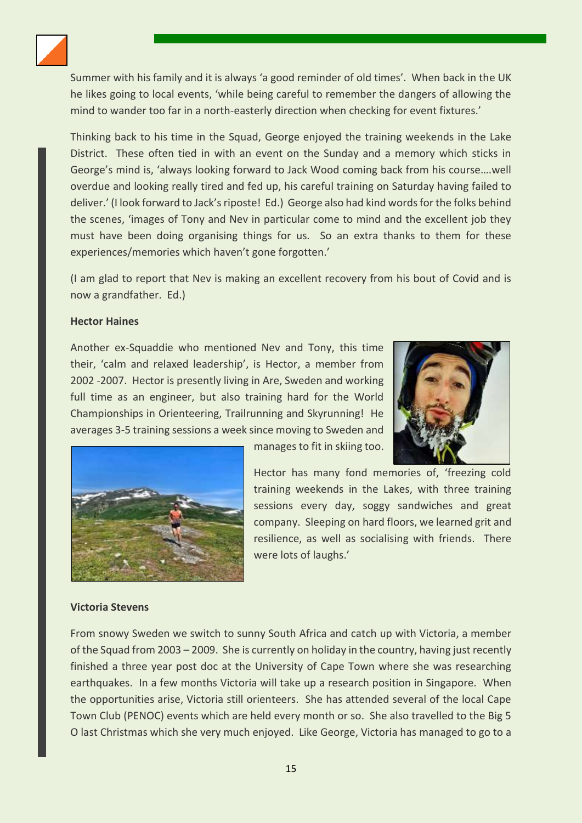

Summer with his family and it is always 'a good reminder of old times'. When back in the UK he likes going to local events, 'while being careful to remember the dangers of allowing the mind to wander too far in a north-easterly direction when checking for event fixtures.'

Thinking back to his time in the Squad, George enjoyed the training weekends in the Lake District. These often tied in with an event on the Sunday and a memory which sticks in George's mind is, 'always looking forward to Jack Wood coming back from his course….well overdue and looking really tired and fed up, his careful training on Saturday having failed to deliver.' (I look forward to Jack's riposte! Ed.) George also had kind words for the folks behind the scenes, 'images of Tony and Nev in particular come to mind and the excellent job they must have been doing organising things for us. So an extra thanks to them for these experiences/memories which haven't gone forgotten.'

(I am glad to report that Nev is making an excellent recovery from his bout of Covid and is now a grandfather. Ed.)

#### **Hector Haines**

Another ex-Squaddie who mentioned Nev and Tony, this time their, 'calm and relaxed leadership', is Hector, a member from 2002 -2007. Hector is presently living in Are, Sweden and working full time as an engineer, but also training hard for the World Championships in Orienteering, Trailrunning and Skyrunning! He averages 3-5 training sessions a week since moving to Sweden and





manages to fit in skiing too.

Hector has many fond memories of, 'freezing cold training weekends in the Lakes, with three training sessions every day, soggy sandwiches and great company. Sleeping on hard floors, we learned grit and resilience, as well as socialising with friends. There were lots of laughs.'

#### **Victoria Stevens**

From snowy Sweden we switch to sunny South Africa and catch up with Victoria, a member of the Squad from 2003 – 2009. She is currently on holiday in the country, having just recently finished a three year post doc at the University of Cape Town where she was researching earthquakes. In a few months Victoria will take up a research position in Singapore. When the opportunities arise, Victoria still orienteers. She has attended several of the local Cape Town Club (PENOC) events which are held every month or so. She also travelled to the Big 5 O last Christmas which she very much enjoyed. Like George, Victoria has managed to go to a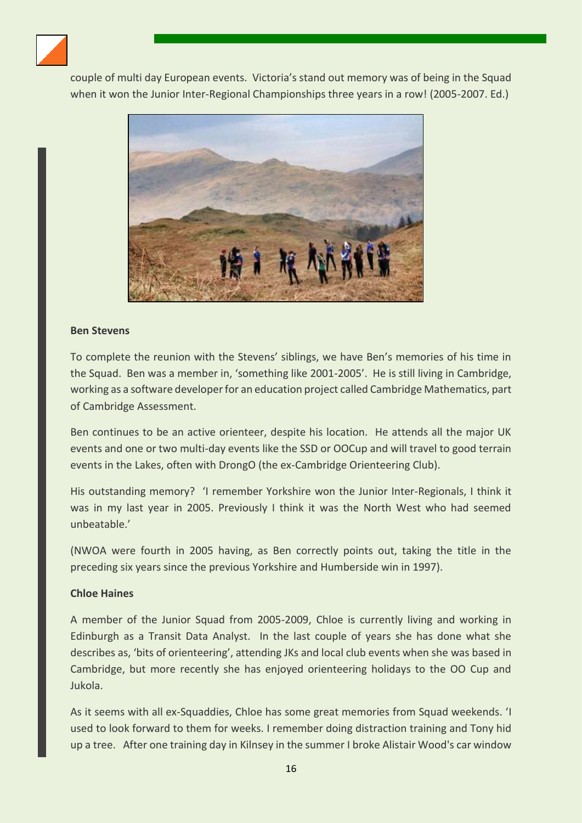

couple of multi day European events. Victoria's stand out memory was of being in the Squad when it won the Junior Inter-Regional Championships three years in a row! (2005-2007. Ed.)



#### **Ben Stevens**

To complete the reunion with the Stevens' siblings, we have Ben's memories of his time in the Squad. Ben was a member in, 'something like 2001-2005'. He is still living in Cambridge, working as a software developer for an education project called Cambridge Mathematics, part of Cambridge Assessment.

Ben continues to be an active orienteer, despite his location. He attends all the major UK events and one or two multi-day events like the SSD or OOCup and will travel to good terrain events in the Lakes, often with DrongO (the ex-Cambridge Orienteering Club).

His outstanding memory? 'I remember Yorkshire won the Junior Inter-Regionals, I think it was in my last year in 2005. Previously I think it was the North West who had seemed unbeatable.'

(NWOA were fourth in 2005 having, as Ben correctly points out, taking the title in the preceding six years since the previous Yorkshire and Humberside win in 1997).

#### **Chloe Haines**

A member of the Junior Squad from 2005-2009, Chloe is currently living and working in Edinburgh as a Transit Data Analyst. In the last couple of years she has done what she describes as, 'bits of orienteering', attending JKs and local club events when she was based in Cambridge, but more recently she has enjoyed orienteering holidays to the OO Cup and Jukola.

As it seems with all ex-Squaddies, Chloe has some great memories from Squad weekends. 'I used to look forward to them for weeks. I remember doing distraction training and Tony hid up a tree. After one training day in Kilnsey in the summer I broke Alistair Wood's car window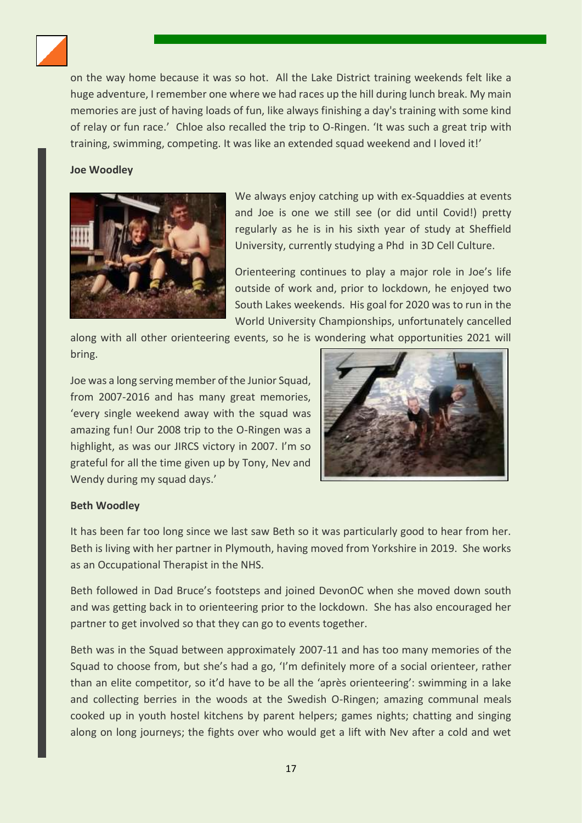

on the way home because it was so hot. All the Lake District training weekends felt like a huge adventure, I remember one where we had races up the hill during lunch break. My main memories are just of having loads of fun, like always finishing a day's training with some kind of relay or fun race.' Chloe also recalled the trip to O-Ringen. 'It was such a great trip with training, swimming, competing. It was like an extended squad weekend and I loved it!'

#### **Joe Woodley**



We always enjoy catching up with ex-Squaddies at events and Joe is one we still see (or did until Covid!) pretty regularly as he is in his sixth year of study at Sheffield University, currently studying a Phd in 3D Cell Culture.

Orienteering continues to play a major role in Joe's life outside of work and, prior to lockdown, he enjoyed two South Lakes weekends. His goal for 2020 was to run in the World University Championships, unfortunately cancelled

along with all other orienteering events, so he is wondering what opportunities 2021 will bring.

Joe was a long serving member of the Junior Squad, from 2007-2016 and has many great memories, 'every single weekend away with the squad was amazing fun! Our 2008 trip to the O-Ringen was a highlight, as was our JIRCS victory in 2007. I'm so grateful for all the time given up by Tony, Nev and Wendy during my squad days.'



#### **Beth Woodley**

It has been far too long since we last saw Beth so it was particularly good to hear from her. Beth is living with her partner in Plymouth, having moved from Yorkshire in 2019. She works as an Occupational Therapist in the NHS.

Beth followed in Dad Bruce's footsteps and joined DevonOC when she moved down south and was getting back in to orienteering prior to the lockdown. She has also encouraged her partner to get involved so that they can go to events together.

Beth was in the Squad between approximately 2007-11 and has too many memories of the Squad to choose from, but she's had a go, 'I'm definitely more of a social orienteer, rather than an elite competitor, so it'd have to be all the 'après orienteering': swimming in a lake and collecting berries in the woods at the Swedish O-Ringen; amazing communal meals cooked up in youth hostel kitchens by parent helpers; games nights; chatting and singing along on long journeys; the fights over who would get a lift with Nev after a cold and wet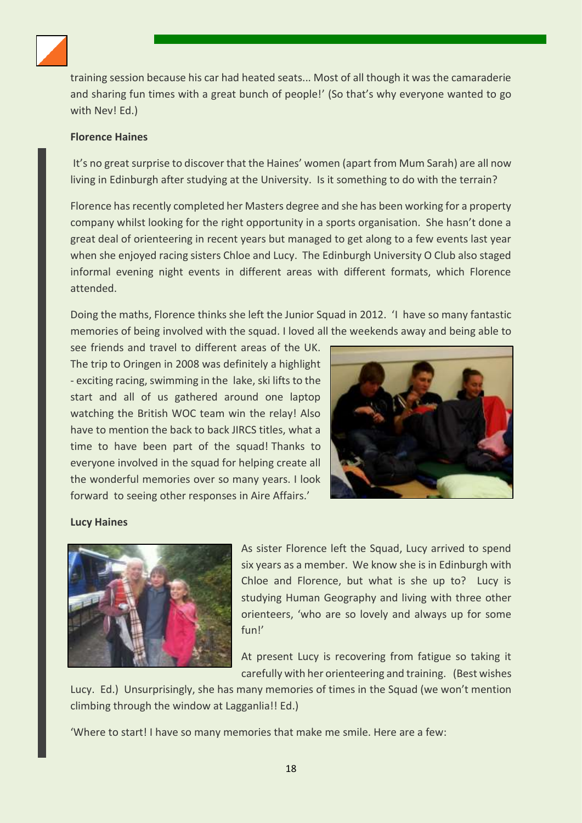

training session because his car had heated seats... Most of all though it was the camaraderie and sharing fun times with a great bunch of people!' (So that's why everyone wanted to go with Nev! Ed.)

#### **Florence Haines**

It's no great surprise to discover that the Haines' women (apart from Mum Sarah) are all now living in Edinburgh after studying at the University. Is it something to do with the terrain?

Florence has recently completed her Masters degree and she has been working for a property company whilst looking for the right opportunity in a sports organisation. She hasn't done a great deal of orienteering in recent years but managed to get along to a few events last year when she enjoyed racing sisters Chloe and Lucy. The Edinburgh University O Club also staged informal evening night events in different areas with different formats, which Florence attended.

Doing the maths, Florence thinks she left the Junior Squad in 2012. 'I have so many fantastic memories of being involved with the squad. I loved all the weekends away and being able to

see friends and travel to different areas of the UK. The trip to Oringen in 2008 was definitely a highlight - exciting racing, swimming in the lake, ski lifts to the start and all of us gathered around one laptop watching the British WOC team win the relay! Also have to mention the back to back JIRCS titles, what a time to have been part of the squad! Thanks to everyone involved in the squad for helping create all the wonderful memories over so many years. I look forward to seeing other responses in Aire Affairs.'



#### **Lucy Haines**



As sister Florence left the Squad, Lucy arrived to spend six years as a member. We know she is in Edinburgh with Chloe and Florence, but what is she up to? Lucy is studying Human Geography and living with three other orienteers, 'who are so lovely and always up for some fun!'

At present Lucy is recovering from fatigue so taking it carefully with her orienteering and training. (Best wishes

Lucy. Ed.) Unsurprisingly, she has many memories of times in the Squad (we won't mention climbing through the window at Lagganlia!! Ed.)

'Where to start! I have so many memories that make me smile. Here are a few: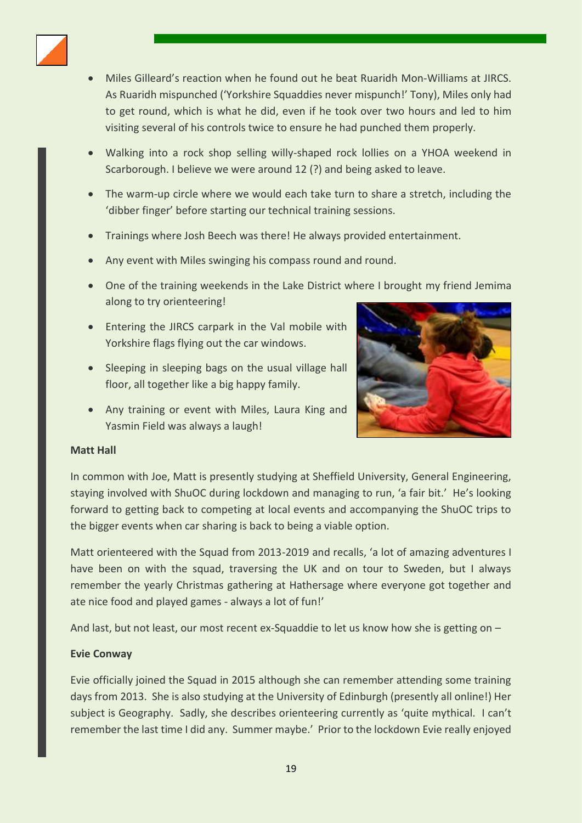

- Miles Gilleard's reaction when he found out he beat Ruaridh Mon-Williams at JIRCS. As Ruaridh mispunched ('Yorkshire Squaddies never mispunch!' Tony), Miles only had to get round, which is what he did, even if he took over two hours and led to him visiting several of his controls twice to ensure he had punched them properly.
- Walking into a rock shop selling willy-shaped rock lollies on a YHOA weekend in Scarborough. I believe we were around 12 (?) and being asked to leave.
- The warm-up circle where we would each take turn to share a stretch, including the 'dibber finger' before starting our technical training sessions.
- Trainings where Josh Beech was there! He always provided entertainment.
- Any event with Miles swinging his compass round and round.
- One of the training weekends in the Lake District where I brought my friend Jemima along to try orienteering!
- Entering the JIRCS carpark in the Val mobile with Yorkshire flags flying out the car windows.
- Sleeping in sleeping bags on the usual village hall floor, all together like a big happy family.
- Any training or event with Miles, Laura King and Yasmin Field was always a laugh!



#### **Matt Hall**

In common with Joe, Matt is presently studying at Sheffield University, General Engineering, staying involved with ShuOC during lockdown and managing to run, 'a fair bit.' He's looking forward to getting back to competing at local events and accompanying the ShuOC trips to the bigger events when car sharing is back to being a viable option.

Matt orienteered with the Squad from 2013-2019 and recalls, 'a lot of amazing adventures I have been on with the squad, traversing the UK and on tour to Sweden, but I always remember the yearly Christmas gathering at Hathersage where everyone got together and ate nice food and played games - always a lot of fun!'

And last, but not least, our most recent ex-Squaddie to let us know how she is getting on –

#### **Evie Conway**

Evie officially joined the Squad in 2015 although she can remember attending some training days from 2013. She is also studying at the University of Edinburgh (presently all online!) Her subject is Geography. Sadly, she describes orienteering currently as 'quite mythical. I can't remember the last time I did any. Summer maybe.' Prior to the lockdown Evie really enjoyed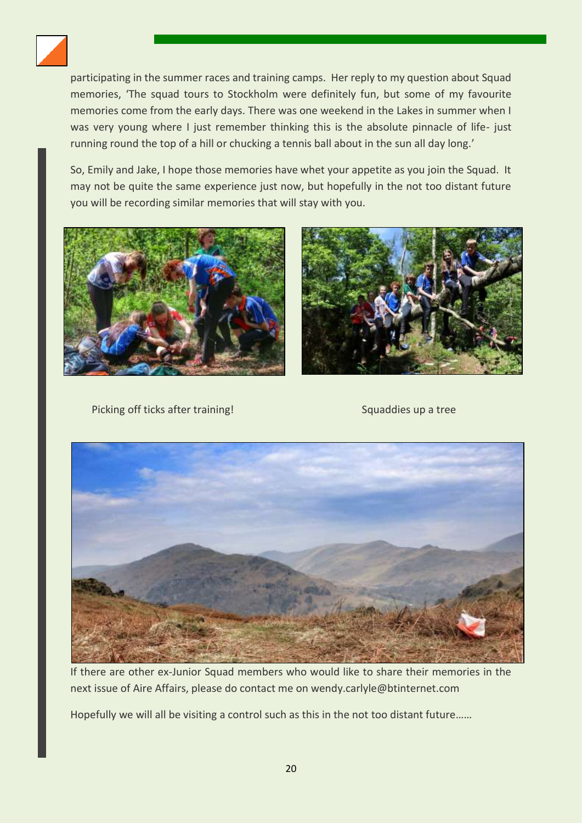

participating in the summer races and training camps. Her reply to my question about Squad memories, 'The squad tours to Stockholm were definitely fun, but some of my favourite memories come from the early days. There was one weekend in the Lakes in summer when I was very young where I just remember thinking this is the absolute pinnacle of life- just running round the top of a hill or chucking a tennis ball about in the sun all day long.'

So, Emily and Jake, I hope those memories have whet your appetite as you join the Squad. It may not be quite the same experience just now, but hopefully in the not too distant future you will be recording similar memories that will stay with you.





Picking off ticks after training! Squaddies up a tree



If there are other ex-Junior Squad members who would like to share their memories in the next issue of Aire Affairs, please do contact me on wendy.carlyle@btinternet.com

Hopefully we will all be visiting a control such as this in the not too distant future……